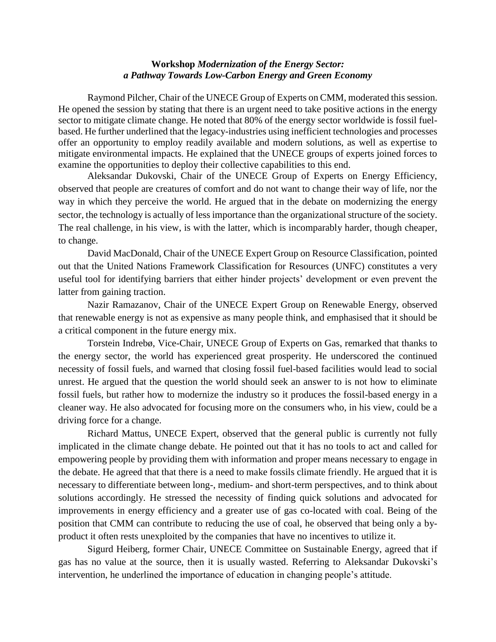## **Workshop** *Modernization of the Energy Sector: a Pathway Towards Low-Carbon Energy and Green Economy*

Raymond Pilcher, Chair of the UNECE Group of Experts on CMM, moderated this session. He opened the session by stating that there is an urgent need to take positive actions in the energy sector to mitigate climate change. He noted that 80% of the energy sector worldwide is fossil fuelbased. He further underlined that the legacy-industries using inefficient technologies and processes offer an opportunity to employ readily available and modern solutions, as well as expertise to mitigate environmental impacts. He explained that the UNECE groups of experts joined forces to examine the opportunities to deploy their collective capabilities to this end.

Aleksandar Dukovski, Chair of the UNECE Group of Experts on Energy Efficiency, observed that people are creatures of comfort and do not want to change their way of life, nor the way in which they perceive the world. He argued that in the debate on modernizing the energy sector, the technology is actually of less importance than the organizational structure of the society. The real challenge, in his view, is with the latter, which is incomparably harder, though cheaper, to change.

David MacDonald, Chair of the UNECE Expert Group on Resource Classification, pointed out that the United Nations Framework Classification for Resources (UNFC) constitutes a very useful tool for identifying barriers that either hinder projects' development or even prevent the latter from gaining traction.

Nazir Ramazanov, Chair of the UNECE Expert Group on Renewable Energy, observed that renewable energy is not as expensive as many people think, and emphasised that it should be a critical component in the future energy mix.

Torstein Indrebø, Vice-Chair, UNECE Group of Experts on Gas, remarked that thanks to the energy sector, the world has experienced great prosperity. He underscored the continued necessity of fossil fuels, and warned that closing fossil fuel-based facilities would lead to social unrest. He argued that the question the world should seek an answer to is not how to eliminate fossil fuels, but rather how to modernize the industry so it produces the fossil-based energy in a cleaner way. He also advocated for focusing more on the consumers who, in his view, could be a driving force for a change.

Richard Mattus, UNECE Expert, observed that the general public is currently not fully implicated in the climate change debate. He pointed out that it has no tools to act and called for empowering people by providing them with information and proper means necessary to engage in the debate. He agreed that that there is a need to make fossils climate friendly. He argued that it is necessary to differentiate between long-, medium- and short-term perspectives, and to think about solutions accordingly. He stressed the necessity of finding quick solutions and advocated for improvements in energy efficiency and a greater use of gas co-located with coal. Being of the position that CMM can contribute to reducing the use of coal, he observed that being only a byproduct it often rests unexploited by the companies that have no incentives to utilize it.

Sigurd Heiberg, former Chair, UNECE Committee on Sustainable Energy, agreed that if gas has no value at the source, then it is usually wasted. Referring to Aleksandar Dukovski's intervention, he underlined the importance of education in changing people's attitude.